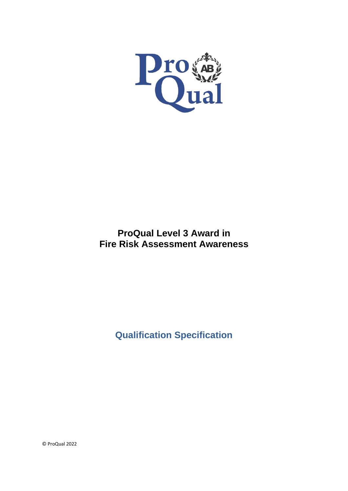

# **ProQual Level 3 Award in Fire Risk Assessment Awareness**

**Qualification Specification**

© ProQual 2022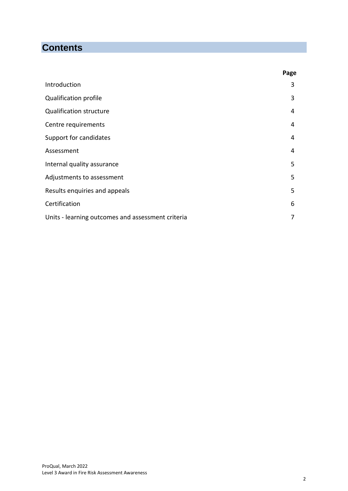# **Contents**

|                                                   | Page |
|---------------------------------------------------|------|
| Introduction                                      | 3    |
| <b>Qualification profile</b>                      | 3    |
| <b>Qualification structure</b>                    | 4    |
| Centre requirements                               | 4    |
| Support for candidates                            | 4    |
| Assessment                                        | 4    |
| Internal quality assurance                        | 5    |
| Adjustments to assessment                         | 5    |
| Results enquiries and appeals                     | 5    |
| Certification                                     | 6    |
| Units - learning outcomes and assessment criteria | 7    |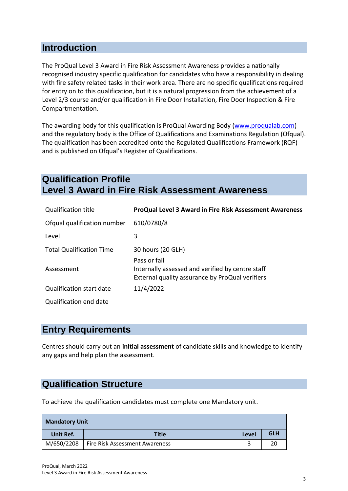## **Introduction**

The ProQual Level 3 Award in Fire Risk Assessment Awareness provides a nationally recognised industry specific qualification for candidates who have a responsibility in dealing with fire safety related tasks in their work area. There are no specific qualifications required for entry on to this qualification, but it is a natural progression from the achievement of a Level 2/3 course and/or qualification in Fire Door Installation, Fire Door Inspection & Fire Compartmentation.

The awarding body for this qualification is ProQual Awarding Body [\(www.proqualab.com\)](http://www.proqualab.com/) and the regulatory body is the Office of Qualifications and Examinations Regulation (Ofqual). The qualification has been accredited onto the Regulated Qualifications Framework (RQF) and is published on Ofqual's Register of Qualifications.

# **Qualification Profile Level 3 Award in Fire Risk Assessment Awareness**

| <b>Qualification title</b>      | <b>ProQual Level 3 Award in Fire Risk Assessment Awareness</b>                                                      |
|---------------------------------|---------------------------------------------------------------------------------------------------------------------|
| Ofqual qualification number     | 610/0780/8                                                                                                          |
| Level                           | 3                                                                                                                   |
| <b>Total Qualification Time</b> | 30 hours (20 GLH)                                                                                                   |
| Assessment                      | Pass or fail<br>Internally assessed and verified by centre staff<br>External quality assurance by ProQual verifiers |
| <b>Qualification start date</b> | 11/4/2022                                                                                                           |
| Qualification end date          |                                                                                                                     |

### **Entry Requirements**

Centres should carry out an **initial assessment** of candidate skills and knowledge to identify any gaps and help plan the assessment.

# **Qualification Structure**

To achieve the qualification candidates must complete one Mandatory unit.

| <b>Mandatory Unit</b> |                                |       |            |
|-----------------------|--------------------------------|-------|------------|
| Unit Ref.             | <b>Title</b>                   | Level | <b>GLH</b> |
| M/650/2208            | Fire Risk Assessment Awareness |       |            |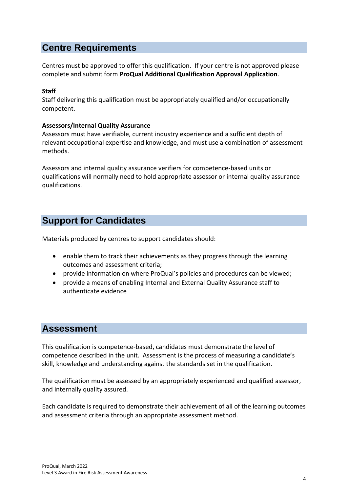## **Centre Requirements**

Centres must be approved to offer this qualification. If your centre is not approved please complete and submit form **ProQual Additional Qualification Approval Application**.

### **Staff**

Staff delivering this qualification must be appropriately qualified and/or occupationally competent.

### **Assessors/Internal Quality Assurance**

Assessors must have verifiable, current industry experience and a sufficient depth of relevant occupational expertise and knowledge, and must use a combination of assessment methods.

Assessors and internal quality assurance verifiers for competence-based units or qualifications will normally need to hold appropriate assessor or internal quality assurance qualifications.

## **Support for Candidates**

Materials produced by centres to support candidates should:

- enable them to track their achievements as they progress through the learning outcomes and assessment criteria;
- provide information on where ProQual's policies and procedures can be viewed;
- provide a means of enabling Internal and External Quality Assurance staff to authenticate evidence

### **Assessment**

This qualification is competence-based, candidates must demonstrate the level of competence described in the unit. Assessment is the process of measuring a candidate's skill, knowledge and understanding against the standards set in the qualification.

The qualification must be assessed by an appropriately experienced and qualified assessor, and internally quality assured.

Each candidate is required to demonstrate their achievement of all of the learning outcomes and assessment criteria through an appropriate assessment method.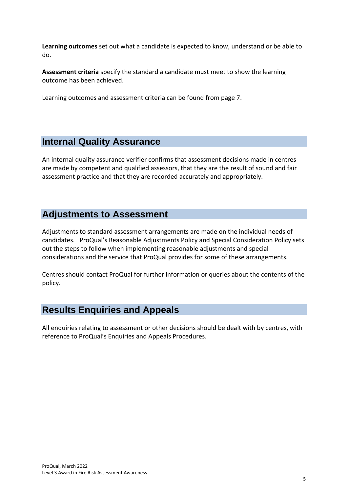**Learning outcomes** set out what a candidate is expected to know, understand or be able to do.

**Assessment criteria** specify the standard a candidate must meet to show the learning outcome has been achieved.

Learning outcomes and assessment criteria can be found from page 7.

## **Internal Quality Assurance**

An internal quality assurance verifier confirms that assessment decisions made in centres are made by competent and qualified assessors, that they are the result of sound and fair assessment practice and that they are recorded accurately and appropriately.

## **Adjustments to Assessment**

Adjustments to standard assessment arrangements are made on the individual needs of candidates. ProQual's Reasonable Adjustments Policy and Special Consideration Policy sets out the steps to follow when implementing reasonable adjustments and special considerations and the service that ProQual provides for some of these arrangements.

Centres should contact ProQual for further information or queries about the contents of the policy.

# **Results Enquiries and Appeals**

All enquiries relating to assessment or other decisions should be dealt with by centres, with reference to ProQual's Enquiries and Appeals Procedures.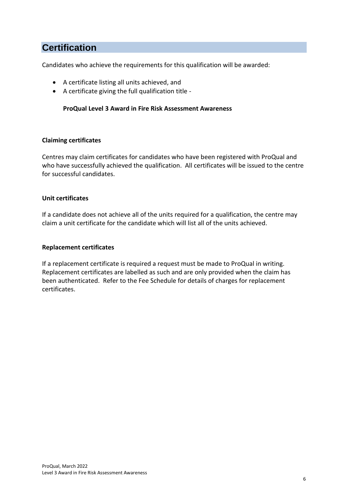## **Certification**

Candidates who achieve the requirements for this qualification will be awarded:

- A certificate listing all units achieved, and
- A certificate giving the full qualification title -

### **ProQual Level 3 Award in Fire Risk Assessment Awareness**

#### **Claiming certificates**

Centres may claim certificates for candidates who have been registered with ProQual and who have successfully achieved the qualification. All certificates will be issued to the centre for successful candidates.

#### **Unit certificates**

If a candidate does not achieve all of the units required for a qualification, the centre may claim a unit certificate for the candidate which will list all of the units achieved.

### **Replacement certificates**

If a replacement certificate is required a request must be made to ProQual in writing. Replacement certificates are labelled as such and are only provided when the claim has been authenticated. Refer to the Fee Schedule for details of charges for replacement certificates.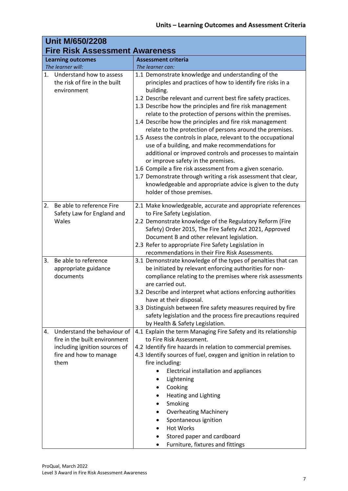| <b>Unit M/650/2208</b>                                                                                                                |                                                                                                                                                                                                                                                                                                                                                                                                                                                                                                                                                                                                                                                                                                                                                                                                                                                                                                 |  |
|---------------------------------------------------------------------------------------------------------------------------------------|-------------------------------------------------------------------------------------------------------------------------------------------------------------------------------------------------------------------------------------------------------------------------------------------------------------------------------------------------------------------------------------------------------------------------------------------------------------------------------------------------------------------------------------------------------------------------------------------------------------------------------------------------------------------------------------------------------------------------------------------------------------------------------------------------------------------------------------------------------------------------------------------------|--|
| <b>Fire Risk Assessment Awareness</b>                                                                                                 |                                                                                                                                                                                                                                                                                                                                                                                                                                                                                                                                                                                                                                                                                                                                                                                                                                                                                                 |  |
| <b>Learning outcomes</b><br>The learner will:                                                                                         | <b>Assessment criteria</b><br>The learner can:                                                                                                                                                                                                                                                                                                                                                                                                                                                                                                                                                                                                                                                                                                                                                                                                                                                  |  |
| 1. Understand how to assess<br>the risk of fire in the built<br>environment                                                           | 1.1 Demonstrate knowledge and understanding of the<br>principles and practices of how to identify fire risks in a<br>building.<br>1.2 Describe relevant and current best fire safety practices.<br>1.3 Describe how the principles and fire risk management<br>relate to the protection of persons within the premises.<br>1.4 Describe how the principles and fire risk management<br>relate to the protection of persons around the premises.<br>1.5 Assess the controls in place, relevant to the occupational<br>use of a building, and make recommendations for<br>additional or improved controls and processes to maintain<br>or improve safety in the premises.<br>1.6 Compile a fire risk assessment from a given scenario.<br>1.7 Demonstrate through writing a risk assessment that clear,<br>knowledgeable and appropriate advice is given to the duty<br>holder of those premises. |  |
| Be able to reference Fire<br>2.<br>Safety Law for England and<br>Wales                                                                | 2.1 Make knowledgeable, accurate and appropriate references<br>to Fire Safety Legislation.<br>2.2 Demonstrate knowledge of the Regulatory Reform (Fire<br>Safety) Order 2015, The Fire Safety Act 2021, Approved<br>Document B and other relevant legislation.<br>2.3 Refer to appropriate Fire Safety Legislation in<br>recommendations in their Fire Risk Assessments.                                                                                                                                                                                                                                                                                                                                                                                                                                                                                                                        |  |
| Be able to reference<br>3.<br>appropriate guidance<br>documents                                                                       | 3.1 Demonstrate knowledge of the types of penalties that can<br>be initiated by relevant enforcing authorities for non-<br>compliance relating to the premises where risk assessments<br>are carried out.<br>3.2 Describe and interpret what actions enforcing authorities<br>have at their disposal.<br>3.3 Distinguish between fire safety measures required by fire<br>safety legislation and the process fire precautions required<br>by Health & Safety Legislation.                                                                                                                                                                                                                                                                                                                                                                                                                       |  |
| Understand the behaviour of<br>4.<br>fire in the built environment<br>including ignition sources of<br>fire and how to manage<br>them | 4.1 Explain the term Managing Fire Safety and its relationship<br>to Fire Risk Assessment.<br>4.2 Identify fire hazards in relation to commercial premises.<br>4.3 Identify sources of fuel, oxygen and ignition in relation to<br>fire including:<br>Electrical installation and appliances<br>Lightening<br>Cooking<br>Heating and Lighting<br>Smoking<br><b>Overheating Machinery</b><br>Spontaneous ignition<br><b>Hot Works</b><br>Stored paper and cardboard<br>Furniture, fixtures and fittings                                                                                                                                                                                                                                                                                                                                                                                          |  |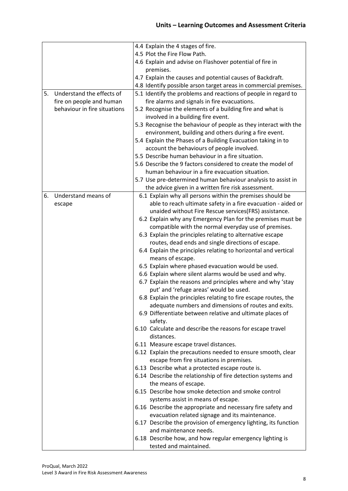|    |                              | 4.4 Explain the 4 stages of fire.                                    |
|----|------------------------------|----------------------------------------------------------------------|
|    |                              | 4.5 Plot the Fire Flow Path.                                         |
|    |                              | 4.6 Explain and advise on Flashover potential of fire in             |
|    |                              | premises.                                                            |
|    |                              | 4.7 Explain the causes and potential causes of Backdraft.            |
|    |                              | 4.8 Identify possible arson target areas in commercial premises.     |
| 5. | Understand the effects of    | 5.1 Identify the problems and reactions of people in regard to       |
|    | fire on people and human     | fire alarms and signals in fire evacuations.                         |
|    | behaviour in fire situations | 5.2 Recognise the elements of a building fire and what is            |
|    |                              | involved in a building fire event.                                   |
|    |                              | 5.3 Recognise the behaviour of people as they interact with the      |
|    |                              | environment, building and others during a fire event.                |
|    |                              | 5.4 Explain the Phases of a Building Evacuation taking in to         |
|    |                              | account the behaviours of people involved.                           |
|    |                              | 5.5 Describe human behaviour in a fire situation.                    |
|    |                              | 5.6 Describe the 9 factors considered to create the model of         |
|    |                              | human behaviour in a fire evacuation situation.                      |
|    |                              | 5.7 Use pre-determined human behaviour analysis to assist in         |
|    |                              | the advice given in a written fire risk assessment.                  |
| 6. | Understand means of          | 6.1 Explain why all persons within the premises should be            |
|    | escape                       | able to reach ultimate safety in a fire evacuation - aided or        |
|    |                              | unaided without Fire Rescue services(FRS) assistance.                |
|    |                              | 6.2 Explain why any Emergency Plan for the premises must be          |
|    |                              | compatible with the normal everyday use of premises.                 |
|    |                              | 6.3 Explain the principles relating to alternative escape            |
|    |                              | routes, dead ends and single directions of escape.                   |
|    |                              | 6.4 Explain the principles relating to horizontal and vertical       |
|    |                              | means of escape.                                                     |
|    |                              | 6.5 Explain where phased evacuation would be used.                   |
|    |                              | 6.6 Explain where silent alarms would be used and why.               |
|    |                              | 6.7 Explain the reasons and principles where and why 'stay           |
|    |                              | put' and 'refuge areas' would be used.                               |
|    |                              | 6.8 Explain the principles relating to fire escape routes, the       |
|    |                              | adequate numbers and dimensions of routes and exits.                 |
|    |                              | 6.9 Differentiate between relative and ultimate places of<br>safety. |
|    |                              | 6.10 Calculate and describe the reasons for escape travel            |
|    |                              | distances.                                                           |
|    |                              | 6.11 Measure escape travel distances.                                |
|    |                              | 6.12 Explain the precautions needed to ensure smooth, clear          |
|    |                              | escape from fire situations in premises.                             |
|    |                              | 6.13 Describe what a protected escape route is.                      |
|    |                              | 6.14 Describe the relationship of fire detection systems and         |
|    |                              | the means of escape.                                                 |
|    |                              | 6.15 Describe how smoke detection and smoke control                  |
|    |                              | systems assist in means of escape.                                   |
|    |                              | 6.16 Describe the appropriate and necessary fire safety and          |
|    |                              | evacuation related signage and its maintenance.                      |
|    |                              | 6.17 Describe the provision of emergency lighting, its function      |
|    |                              | and maintenance needs.                                               |
|    |                              | 6.18 Describe how, and how regular emergency lighting is             |
|    |                              | tested and maintained.                                               |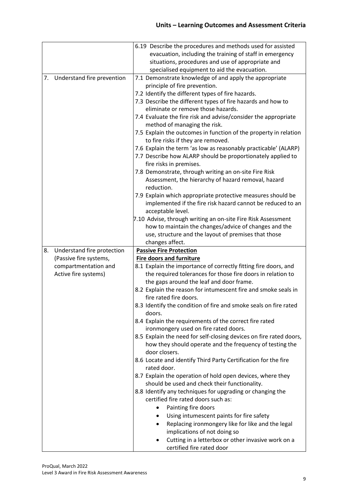|    |                            | 6.19 Describe the procedures and methods used for assisted                                             |
|----|----------------------------|--------------------------------------------------------------------------------------------------------|
|    |                            | evacuation, including the training of staff in emergency                                               |
|    |                            | situations, procedures and use of appropriate and                                                      |
|    |                            | specialised equipment to aid the evacuation.                                                           |
| 7. | Understand fire prevention | 7.1 Demonstrate knowledge of and apply the appropriate                                                 |
|    |                            | principle of fire prevention.                                                                          |
|    |                            | 7.2 Identify the different types of fire hazards.                                                      |
|    |                            | 7.3 Describe the different types of fire hazards and how to                                            |
|    |                            | eliminate or remove those hazards.                                                                     |
|    |                            | 7.4 Evaluate the fire risk and advise/consider the appropriate                                         |
|    |                            | method of managing the risk.                                                                           |
|    |                            | 7.5 Explain the outcomes in function of the property in relation<br>to fire risks if they are removed. |
|    |                            | 7.6 Explain the term 'as low as reasonably practicable' (ALARP)                                        |
|    |                            | 7.7 Describe how ALARP should be proportionately applied to<br>fire risks in premises.                 |
|    |                            | 7.8 Demonstrate, through writing an on-site Fire Risk                                                  |
|    |                            | Assessment, the hierarchy of hazard removal, hazard                                                    |
|    |                            | reduction.                                                                                             |
|    |                            | 7.9 Explain which appropriate protective measures should be                                            |
|    |                            | implemented if the fire risk hazard cannot be reduced to an                                            |
|    |                            | acceptable level.                                                                                      |
|    |                            | 7.10 Advise, through writing an on-site Fire Risk Assessment                                           |
|    |                            | how to maintain the changes/advice of changes and the                                                  |
|    |                            | use, structure and the layout of premises that those                                                   |
|    |                            | changes affect.                                                                                        |
|    |                            |                                                                                                        |
| 8. | Understand fire protection | <b>Passive Fire Protection</b>                                                                         |
|    | (Passive fire systems,     | <b>Fire doors and furniture</b>                                                                        |
|    | compartmentation and       | 8.1 Explain the importance of correctly fitting fire doors, and                                        |
|    | Active fire systems)       | the required tolerances for those fire doors in relation to                                            |
|    |                            | the gaps around the leaf and door frame.                                                               |
|    |                            | 8.2 Explain the reason for intumescent fire and smoke seals in                                         |
|    |                            | fire rated fire doors.                                                                                 |
|    |                            | 8.3 Identify the condition of fire and smoke seals on fire rated                                       |
|    |                            | doors.                                                                                                 |
|    |                            | 8.4 Explain the requirements of the correct fire rated<br>ironmongery used on fire rated doors.        |
|    |                            | 8.5 Explain the need for self-closing devices on fire rated doors,                                     |
|    |                            | how they should operate and the frequency of testing the                                               |
|    |                            | door closers.                                                                                          |
|    |                            | 8.6 Locate and identify Third Party Certification for the fire                                         |
|    |                            | rated door.                                                                                            |
|    |                            | 8.7 Explain the operation of hold open devices, where they                                             |
|    |                            | should be used and check their functionality.                                                          |
|    |                            | 8.8 Identify any techniques for upgrading or changing the                                              |
|    |                            | certified fire rated doors such as:                                                                    |
|    |                            | Painting fire doors<br>$\bullet$                                                                       |
|    |                            | Using intumescent paints for fire safety<br>٠                                                          |
|    |                            | Replacing ironmongery like for like and the legal<br>٠                                                 |
|    |                            | implications of not doing so<br>Cutting in a letterbox or other invasive work on a<br>$\bullet$        |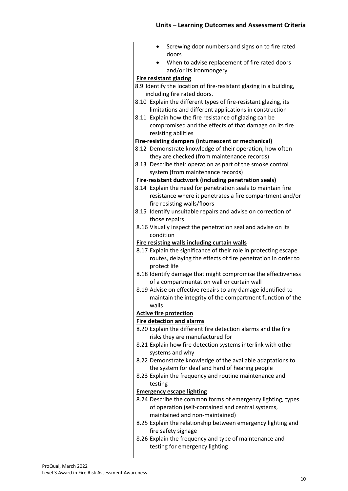| Screwing door numbers and signs on to fire rated<br>$\bullet$                                                                |
|------------------------------------------------------------------------------------------------------------------------------|
| doors                                                                                                                        |
| When to advise replacement of fire rated doors                                                                               |
| and/or its ironmongery                                                                                                       |
| <b>Fire resistant glazing</b>                                                                                                |
| 8.9 Identify the location of fire-resistant glazing in a building,                                                           |
| including fire rated doors.                                                                                                  |
| 8.10 Explain the different types of fire-resistant glazing, its                                                              |
| limitations and different applications in construction                                                                       |
| 8.11 Explain how the fire resistance of glazing can be                                                                       |
| compromised and the effects of that damage on its fire                                                                       |
| resisting abilities                                                                                                          |
| <b>Fire-resisting dampers (intumescent or mechanical)</b>                                                                    |
| 8.12 Demonstrate knowledge of their operation, how often                                                                     |
| they are checked (from maintenance records)                                                                                  |
| 8.13 Describe their operation as part of the smoke control                                                                   |
| system (from maintenance records)                                                                                            |
| <b>Fire-resistant ductwork (including penetration seals)</b><br>8.14 Explain the need for penetration seals to maintain fire |
| resistance where it penetrates a fire compartment and/or                                                                     |
| fire resisting walls/floors                                                                                                  |
| 8.15 Identify unsuitable repairs and advise on correction of                                                                 |
| those repairs                                                                                                                |
| 8.16 Visually inspect the penetration seal and advise on its                                                                 |
| condition                                                                                                                    |
| <b>Fire resisting walls including curtain walls</b>                                                                          |
| 8.17 Explain the significance of their role in protecting escape                                                             |
| routes, delaying the effects of fire penetration in order to                                                                 |
| protect life                                                                                                                 |
| 8.18 Identify damage that might compromise the effectiveness                                                                 |
| of a compartmentation wall or curtain wall                                                                                   |
| 8.19 Advise on effective repairs to any damage identified to<br>maintain the integrity of the compartment function of the    |
| walls                                                                                                                        |
| <b>Active fire protection</b>                                                                                                |
| <b>Fire detection and alarms</b>                                                                                             |
| 8.20 Explain the different fire detection alarms and the fire                                                                |
| risks they are manufactured for                                                                                              |
| 8.21 Explain how fire detection systems interlink with other                                                                 |
| systems and why                                                                                                              |
| 8.22 Demonstrate knowledge of the available adaptations to                                                                   |
| the system for deaf and hard of hearing people                                                                               |
| 8.23 Explain the frequency and routine maintenance and                                                                       |
| testing                                                                                                                      |
| <b>Emergency escape lighting</b>                                                                                             |
| 8.24 Describe the common forms of emergency lighting, types                                                                  |
| of operation (self-contained and central systems,<br>maintained and non-maintained)                                          |
| 8.25 Explain the relationship between emergency lighting and                                                                 |
| fire safety signage                                                                                                          |
| 8.26 Explain the frequency and type of maintenance and                                                                       |
| testing for emergency lighting                                                                                               |
|                                                                                                                              |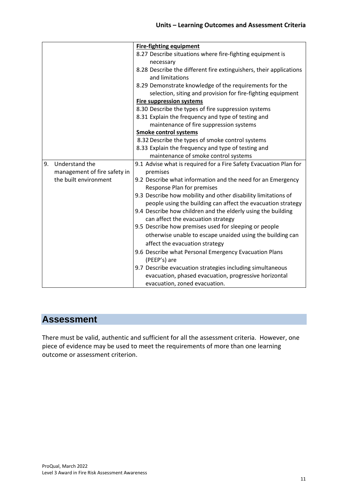|    |                              | <b>Fire-fighting equipment</b>                                                                     |
|----|------------------------------|----------------------------------------------------------------------------------------------------|
|    |                              | 8.27 Describe situations where fire-fighting equipment is                                          |
|    |                              | necessary                                                                                          |
|    |                              | 8.28 Describe the different fire extinguishers, their applications                                 |
|    |                              | and limitations                                                                                    |
|    |                              | 8.29 Demonstrate knowledge of the requirements for the                                             |
|    |                              | selection, siting and provision for fire-fighting equipment                                        |
|    |                              | <b>Fire suppression systems</b>                                                                    |
|    |                              | 8.30 Describe the types of fire suppression systems                                                |
|    |                              | 8.31 Explain the frequency and type of testing and                                                 |
|    |                              | maintenance of fire suppression systems                                                            |
|    |                              | <b>Smoke control systems</b>                                                                       |
|    |                              | 8.32 Describe the types of smoke control systems                                                   |
|    |                              | 8.33 Explain the frequency and type of testing and                                                 |
|    |                              | maintenance of smoke control systems                                                               |
| 9. | Understand the               | 9.1 Advise what is required for a Fire Safety Evacuation Plan for                                  |
|    | management of fire safety in | premises                                                                                           |
|    | the built environment        | 9.2 Describe what information and the need for an Emergency                                        |
|    |                              | Response Plan for premises                                                                         |
|    |                              | 9.3 Describe how mobility and other disability limitations of                                      |
|    |                              | people using the building can affect the evacuation strategy                                       |
|    |                              | 9.4 Describe how children and the elderly using the building<br>can affect the evacuation strategy |
|    |                              | 9.5 Describe how premises used for sleeping or people                                              |
|    |                              | otherwise unable to escape unaided using the building can                                          |
|    |                              | affect the evacuation strategy                                                                     |
|    |                              |                                                                                                    |
|    |                              | 9.6 Describe what Personal Emergency Evacuation Plans<br>(PEEP's) are                              |
|    |                              | 9.7 Describe evacuation strategies including simultaneous                                          |
|    |                              | evacuation, phased evacuation, progressive horizontal                                              |
|    |                              | evacuation, zoned evacuation.                                                                      |

# **Assessment**

There must be valid, authentic and sufficient for all the assessment criteria. However, one piece of evidence may be used to meet the requirements of more than one learning outcome or assessment criterion.